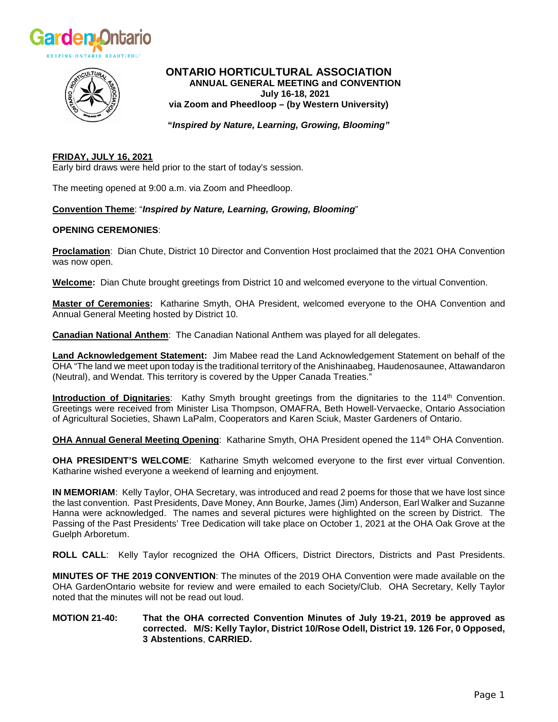



# **ONTARIO HORTICULTURAL ASSOCIATION ANNUAL GENERAL MEETING and CONVENTION July 16-18, 2021 via Zoom and Pheedloop – (by Western University)**

**"***Inspired by Nature, Learning, Growing, Blooming"*

#### **FRIDAY, JULY 16, 2021** Early bird draws were held prior to the start of today's session.

The meeting opened at 9:00 a.m. via Zoom and Pheedloop.

# **Convention Theme**: "*Inspired by Nature, Learning, Growing, Blooming*"

# **OPENING CEREMONIES**:

**Proclamation**: Dian Chute, District 10 Director and Convention Host proclaimed that the 2021 OHA Convention was now open.

**Welcome:** Dian Chute brought greetings from District 10 and welcomed everyone to the virtual Convention.

**Master of Ceremonies:** Katharine Smyth, OHA President, welcomed everyone to the OHA Convention and Annual General Meeting hosted by District 10.

**Canadian National Anthem**: The Canadian National Anthem was played for all delegates.

**Land Acknowledgement Statement:** Jim Mabee read the Land Acknowledgement Statement on behalf of the OHA "The land we meet upon today is the traditional territory of the Anishinaabeg, Haudenosaunee, Attawandaron (Neutral), and Wendat. This territory is covered by the Upper Canada Treaties."

**Introduction of Dignitaries**: Kathy Smyth brought greetings from the dignitaries to the 114<sup>th</sup> Convention. Greetings were received from Minister Lisa Thompson, OMAFRA, Beth Howell-Vervaecke, Ontario Association of Agricultural Societies, Shawn LaPalm, Cooperators and Karen Sciuk, Master Gardeners of Ontario.

**OHA Annual General Meeting Opening**: Katharine Smyth, OHA President opened the 114th OHA Convention.

**OHA PRESIDENT'S WELCOME**: Katharine Smyth welcomed everyone to the first ever virtual Convention. Katharine wished everyone a weekend of learning and enjoyment.

**IN MEMORIAM**: Kelly Taylor, OHA Secretary, was introduced and read 2 poems for those that we have lost since the last convention. Past Presidents, Dave Money, Ann Bourke, James (Jim) Anderson, Earl Walker and Suzanne Hanna were acknowledged. The names and several pictures were highlighted on the screen by District. The Passing of the Past Presidents' Tree Dedication will take place on October 1, 2021 at the OHA Oak Grove at the Guelph Arboretum.

**ROLL CALL**: Kelly Taylor recognized the OHA Officers, District Directors, Districts and Past Presidents.

**MINUTES OF THE 2019 CONVENTION**: The minutes of the 2019 OHA Convention were made available on the OHA GardenOntario website for review and were emailed to each Society/Club. OHA Secretary, Kelly Taylor noted that the minutes will not be read out loud.

### **MOTION 21-40: That the OHA corrected Convention Minutes of July 19-21, 2019 be approved as corrected. M/S: Kelly Taylor, District 10/Rose Odell, District 19. 126 For, 0 Opposed, 3 Abstentions**, **CARRIED.**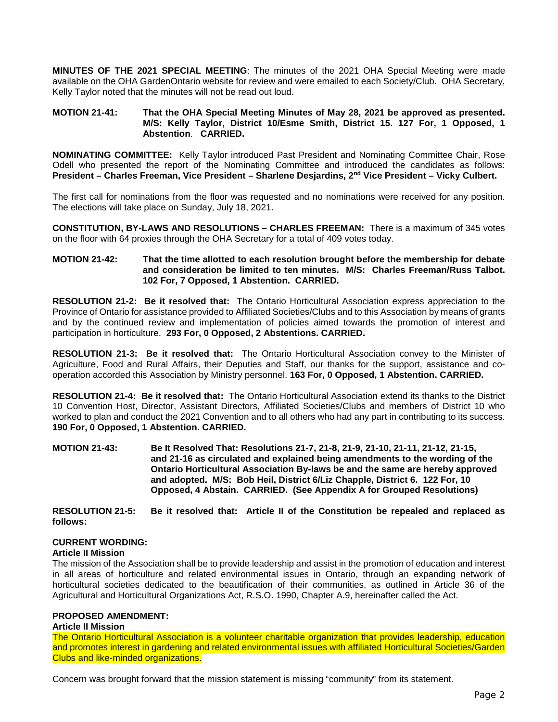**MINUTES OF THE 2021 SPECIAL MEETING**: The minutes of the 2021 OHA Special Meeting were made available on the OHA GardenOntario website for review and were emailed to each Society/Club. OHA Secretary, Kelly Taylor noted that the minutes will not be read out loud.

### **MOTION 21-41: That the OHA Special Meeting Minutes of May 28, 2021 be approved as presented. M/S: Kelly Taylor, District 10/Esme Smith, District 15. 127 For, 1 Opposed, 1 Abstention**. **CARRIED.**

**NOMINATING COMMITTEE:** Kelly Taylor introduced Past President and Nominating Committee Chair, Rose Odell who presented the report of the Nominating Committee and introduced the candidates as follows: **President – Charles Freeman, Vice President – Sharlene Desjardins, 2nd Vice President – Vicky Culbert.**

The first call for nominations from the floor was requested and no nominations were received for any position. The elections will take place on Sunday, July 18, 2021.

**CONSTITUTION, BY-LAWS AND RESOLUTIONS – CHARLES FREEMAN:** There is a maximum of 345 votes on the floor with 64 proxies through the OHA Secretary for a total of 409 votes today.

### **MOTION 21-42: That the time allotted to each resolution brought before the membership for debate and consideration be limited to ten minutes. M/S: Charles Freeman/Russ Talbot. 102 For, 7 Opposed, 1 Abstention. CARRIED.**

**RESOLUTION 21-2: Be it resolved that:** The Ontario Horticultural Association express appreciation to the Province of Ontario for assistance provided to Affiliated Societies/Clubs and to this Association by means of grants and by the continued review and implementation of policies aimed towards the promotion of interest and participation in horticulture. **293 For, 0 Opposed, 2 Abstentions. CARRIED.**

**RESOLUTION 21-3: Be it resolved that:** The Ontario Horticultural Association convey to the Minister of Agriculture, Food and Rural Affairs, their Deputies and Staff, our thanks for the support, assistance and cooperation accorded this Association by Ministry personnel. **163 For, 0 Opposed, 1 Abstention. CARRIED.**

**RESOLUTION 21-4: Be it resolved that:** The Ontario Horticultural Association extend its thanks to the District 10 Convention Host, Director, Assistant Directors, Affiliated Societies/Clubs and members of District 10 who worked to plan and conduct the 2021 Convention and to all others who had any part in contributing to its success. **190 For, 0 Opposed, 1 Abstention. CARRIED.**

**MOTION 21-43: Be It Resolved That: Resolutions 21-7, 21-8, 21-9, 21-10, 21-11, 21-12, 21-15, and 21-16 as circulated and explained being amendments to the wording of the Ontario Horticultural Association By-laws be and the same are hereby approved and adopted. M/S: Bob Heil, District 6/Liz Chapple, District 6. 122 For, 10 Opposed, 4 Abstain. CARRIED. (See Appendix A for Grouped Resolutions)**

**RESOLUTION 21-5: Be it resolved that: Article II of the Constitution be repealed and replaced as follows:**

# **CURRENT WORDING:**

### **Article II Mission**

The mission of the Association shall be to provide leadership and assist in the promotion of education and interest in all areas of horticulture and related environmental issues in Ontario, through an expanding network of horticultural societies dedicated to the beautification of their communities, as outlined in Article 36 of the Agricultural and Horticultural Organizations Act, R.S.O. 1990, Chapter A.9, hereinafter called the Act.

# **PROPOSED AMENDMENT:**

### **Article II Mission**

The Ontario Horticultural Association is a volunteer charitable organization that provides leadership, education and promotes interest in gardening and related environmental issues with affiliated Horticultural Societies/Garden Clubs and like-minded organizations.

Concern was brought forward that the mission statement is missing "community" from its statement.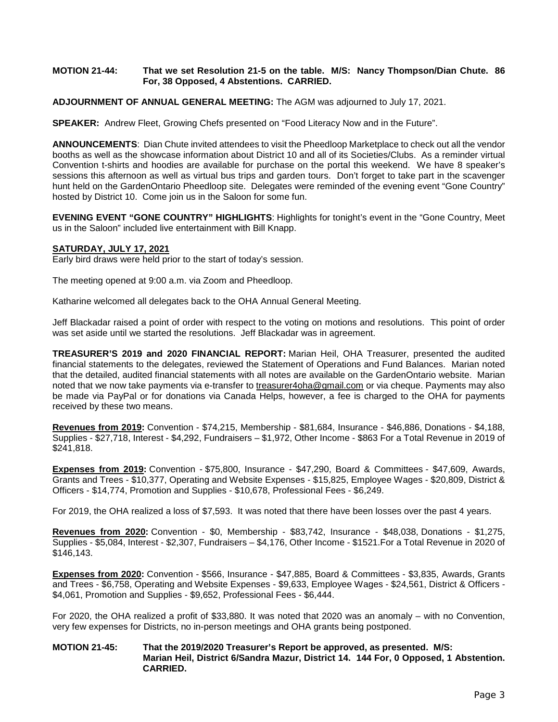### **MOTION 21-44: That we set Resolution 21-5 on the table. M/S: Nancy Thompson/Dian Chute. 86 For, 38 Opposed, 4 Abstentions. CARRIED.**

### **ADJOURNMENT OF ANNUAL GENERAL MEETING:** The AGM was adjourned to July 17, 2021.

**SPEAKER:** Andrew Fleet, Growing Chefs presented on "Food Literacy Now and in the Future".

**ANNOUNCEMENTS**: Dian Chute invited attendees to visit the Pheedloop Marketplace to check out all the vendor booths as well as the showcase information about District 10 and all of its Societies/Clubs. As a reminder virtual Convention t-shirts and hoodies are available for purchase on the portal this weekend. We have 8 speaker's sessions this afternoon as well as virtual bus trips and garden tours. Don't forget to take part in the scavenger hunt held on the GardenOntario Pheedloop site. Delegates were reminded of the evening event "Gone Country" hosted by District 10. Come join us in the Saloon for some fun.

**EVENING EVENT "GONE COUNTRY" HIGHLIGHTS**: Highlights for tonight's event in the "Gone Country, Meet us in the Saloon" included live entertainment with Bill Knapp.

### **SATURDAY, JULY 17, 2021**

Early bird draws were held prior to the start of today's session.

The meeting opened at 9:00 a.m. via Zoom and Pheedloop.

Katharine welcomed all delegates back to the OHA Annual General Meeting.

Jeff Blackadar raised a point of order with respect to the voting on motions and resolutions. This point of order was set aside until we started the resolutions. Jeff Blackadar was in agreement.

**TREASURER'S 2019 and 2020 FINANCIAL REPORT:** Marian Heil, OHA Treasurer, presented the audited financial statements to the delegates, reviewed the Statement of Operations and Fund Balances. Marian noted that the detailed, audited financial statements with all notes are available on the GardenOntario website. Marian noted that we now take payments via e-transfer to [treasurer4oha@gmail.com](mailto:treasurer4oha@gmail.com) or via cheque. Payments may also be made via PayPal or for donations via Canada Helps, however, a fee is charged to the OHA for payments received by these two means.

**Revenues from 2019:** Convention - \$74,215, Membership - \$81,684, Insurance - \$46,886, Donations - \$4,188, Supplies - \$27,718, Interest - \$4,292, Fundraisers – \$1,972, Other Income - \$863 For a Total Revenue in 2019 of \$241,818.

**Expenses from 2019:** Convention - \$75,800, Insurance - \$47,290, Board & Committees - \$47,609, Awards, Grants and Trees - \$10,377, Operating and Website Expenses - \$15,825, Employee Wages - \$20,809, District & Officers - \$14,774, Promotion and Supplies - \$10,678, Professional Fees - \$6,249.

For 2019, the OHA realized a loss of \$7,593. It was noted that there have been losses over the past 4 years.

**Revenues from 2020:** Convention - \$0, Membership - \$83,742, Insurance - \$48,038, Donations - \$1,275, Supplies - \$5,084, Interest - \$2,307, Fundraisers – \$4,176, Other Income - \$1521.For a Total Revenue in 2020 of \$146,143.

**Expenses from 2020:** Convention - \$566, Insurance - \$47,885, Board & Committees - \$3,835, Awards, Grants and Trees - \$6,758, Operating and Website Expenses - \$9,633, Employee Wages - \$24,561, District & Officers - \$4,061, Promotion and Supplies - \$9,652, Professional Fees - \$6,444.

For 2020, the OHA realized a profit of \$33,880. It was noted that 2020 was an anomaly – with no Convention, very few expenses for Districts, no in-person meetings and OHA grants being postponed.

### **MOTION 21-45: That the 2019/2020 Treasurer's Report be approved, as presented. M/S: Marian Heil, District 6/Sandra Mazur, District 14. 144 For, 0 Opposed, 1 Abstention. CARRIED.**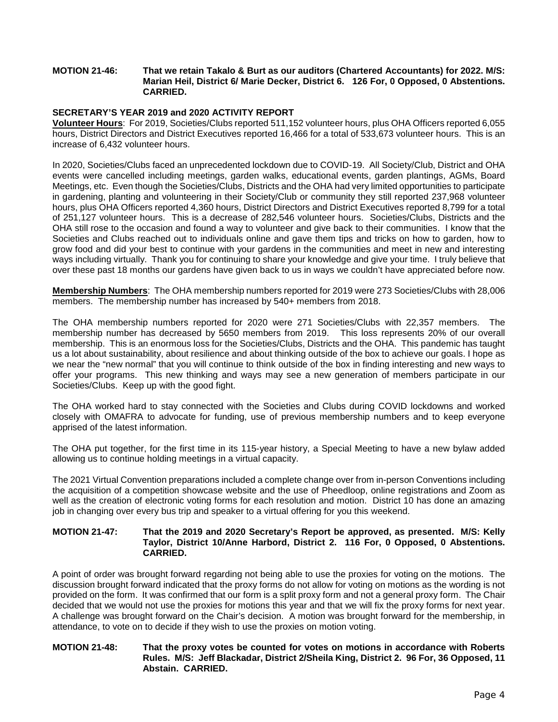### **MOTION 21-46: That we retain Takalo & Burt as our auditors (Chartered Accountants) for 2022. M/S: Marian Heil, District 6/ Marie Decker, District 6. 126 For, 0 Opposed, 0 Abstentions. CARRIED.**

# **SECRETARY'S YEAR 2019 and 2020 ACTIVITY REPORT**

**Volunteer Hours**: For 2019, Societies/Clubs reported 511,152 volunteer hours, plus OHA Officers reported 6,055 hours, District Directors and District Executives reported 16,466 for a total of 533,673 volunteer hours. This is an increase of 6,432 volunteer hours.

In 2020, Societies/Clubs faced an unprecedented lockdown due to COVID-19. All Society/Club, District and OHA events were cancelled including meetings, garden walks, educational events, garden plantings, AGMs, Board Meetings, etc. Even though the Societies/Clubs, Districts and the OHA had very limited opportunities to participate in gardening, planting and volunteering in their Society/Club or community they still reported 237,968 volunteer hours, plus OHA Officers reported 4,360 hours, District Directors and District Executives reported 8,799 for a total of 251,127 volunteer hours. This is a decrease of 282,546 volunteer hours. Societies/Clubs, Districts and the OHA still rose to the occasion and found a way to volunteer and give back to their communities. I know that the Societies and Clubs reached out to individuals online and gave them tips and tricks on how to garden, how to grow food and did your best to continue with your gardens in the communities and meet in new and interesting ways including virtually. Thank you for continuing to share your knowledge and give your time. I truly believe that over these past 18 months our gardens have given back to us in ways we couldn't have appreciated before now.

**Membership Numbers**: The OHA membership numbers reported for 2019 were 273 Societies/Clubs with 28,006 members. The membership number has increased by 540+ members from 2018.

The OHA membership numbers reported for 2020 were 271 Societies/Clubs with 22,357 members. The membership number has decreased by 5650 members from 2019. This loss represents 20% of our overall membership. This is an enormous loss for the Societies/Clubs, Districts and the OHA. This pandemic has taught us a lot about sustainability, about resilience and about thinking outside of the box to achieve our goals. I hope as we near the "new normal" that you will continue to think outside of the box in finding interesting and new ways to offer your programs. This new thinking and ways may see a new generation of members participate in our Societies/Clubs. Keep up with the good fight.

The OHA worked hard to stay connected with the Societies and Clubs during COVID lockdowns and worked closely with OMAFRA to advocate for funding, use of previous membership numbers and to keep everyone apprised of the latest information.

The OHA put together, for the first time in its 115-year history, a Special Meeting to have a new bylaw added allowing us to continue holding meetings in a virtual capacity.

The 2021 Virtual Convention preparations included a complete change over from in-person Conventions including the acquisition of a competition showcase website and the use of Pheedloop, online registrations and Zoom as well as the creation of electronic voting forms for each resolution and motion. District 10 has done an amazing job in changing over every bus trip and speaker to a virtual offering for you this weekend.

### **MOTION 21-47: That the 2019 and 2020 Secretary's Report be approved, as presented. M/S: Kelly Taylor, District 10/Anne Harbord, District 2. 116 For, 0 Opposed, 0 Abstentions. CARRIED.**

A point of order was brought forward regarding not being able to use the proxies for voting on the motions. The discussion brought forward indicated that the proxy forms do not allow for voting on motions as the wording is not provided on the form. It was confirmed that our form is a split proxy form and not a general proxy form. The Chair decided that we would not use the proxies for motions this year and that we will fix the proxy forms for next year. A challenge was brought forward on the Chair's decision. A motion was brought forward for the membership, in attendance, to vote on to decide if they wish to use the proxies on motion voting.

### **MOTION 21-48: That the proxy votes be counted for votes on motions in accordance with Roberts Rules. M/S: Jeff Blackadar, District 2/Sheila King, District 2. 96 For, 36 Opposed, 11 Abstain. CARRIED.**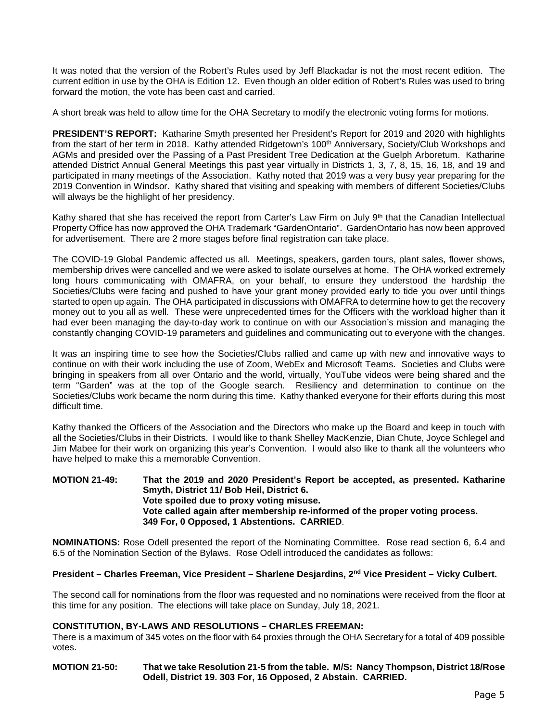It was noted that the version of the Robert's Rules used by Jeff Blackadar is not the most recent edition. The current edition in use by the OHA is Edition 12. Even though an older edition of Robert's Rules was used to bring forward the motion, the vote has been cast and carried.

A short break was held to allow time for the OHA Secretary to modify the electronic voting forms for motions.

**PRESIDENT'S REPORT:** Katharine Smyth presented her President's Report for 2019 and 2020 with highlights from the start of her term in 2018. Kathy attended Ridgetown's 100<sup>th</sup> Anniversary, Society/Club Workshops and AGMs and presided over the Passing of a Past President Tree Dedication at the Guelph Arboretum. Katharine attended District Annual General Meetings this past year virtually in Districts 1, 3, 7, 8, 15, 16, 18, and 19 and participated in many meetings of the Association. Kathy noted that 2019 was a very busy year preparing for the 2019 Convention in Windsor. Kathy shared that visiting and speaking with members of different Societies/Clubs will always be the highlight of her presidency.

Kathy shared that she has received the report from Carter's Law Firm on July 9th that the Canadian Intellectual Property Office has now approved the OHA Trademark "GardenOntario". GardenOntario has now been approved for advertisement. There are 2 more stages before final registration can take place.

The COVID-19 Global Pandemic affected us all. Meetings, speakers, garden tours, plant sales, flower shows, membership drives were cancelled and we were asked to isolate ourselves at home. The OHA worked extremely long hours communicating with OMAFRA, on your behalf, to ensure they understood the hardship the Societies/Clubs were facing and pushed to have your grant money provided early to tide you over until things started to open up again. The OHA participated in discussions with OMAFRA to determine how to get the recovery money out to you all as well. These were unprecedented times for the Officers with the workload higher than it had ever been managing the day-to-day work to continue on with our Association's mission and managing the constantly changing COVID-19 parameters and guidelines and communicating out to everyone with the changes.

It was an inspiring time to see how the Societies/Clubs rallied and came up with new and innovative ways to continue on with their work including the use of Zoom, WebEx and Microsoft Teams. Societies and Clubs were bringing in speakers from all over Ontario and the world, virtually, YouTube videos were being shared and the term "Garden" was at the top of the Google search. Resiliency and determination to continue on the Societies/Clubs work became the norm during this time. Kathy thanked everyone for their efforts during this most difficult time.

Kathy thanked the Officers of the Association and the Directors who make up the Board and keep in touch with all the Societies/Clubs in their Districts. I would like to thank Shelley MacKenzie, Dian Chute, Joyce Schlegel and Jim Mabee for their work on organizing this year's Convention. I would also like to thank all the volunteers who have helped to make this a memorable Convention.

### **MOTION 21-49: That the 2019 and 2020 President's Report be accepted, as presented. Katharine Smyth, District 11/ Bob Heil, District 6. Vote spoiled due to proxy voting misuse. Vote called again after membership re-informed of the proper voting process. 349 For, 0 Opposed, 1 Abstentions. CARRIED**.

**NOMINATIONS:** Rose Odell presented the report of the Nominating Committee. Rose read section 6, 6.4 and 6.5 of the Nomination Section of the Bylaws. Rose Odell introduced the candidates as follows:

# **President – Charles Freeman, Vice President – Sharlene Desjardins, 2nd Vice President – Vicky Culbert.**

The second call for nominations from the floor was requested and no nominations were received from the floor at this time for any position. The elections will take place on Sunday, July 18, 2021.

# **CONSTITUTION, BY-LAWS AND RESOLUTIONS – CHARLES FREEMAN:**

There is a maximum of 345 votes on the floor with 64 proxies through the OHA Secretary for a total of 409 possible votes.

### **MOTION 21-50: That we take Resolution 21-5 from the table. M/S: Nancy Thompson, District 18/Rose Odell, District 19. 303 For, 16 Opposed, 2 Abstain. CARRIED.**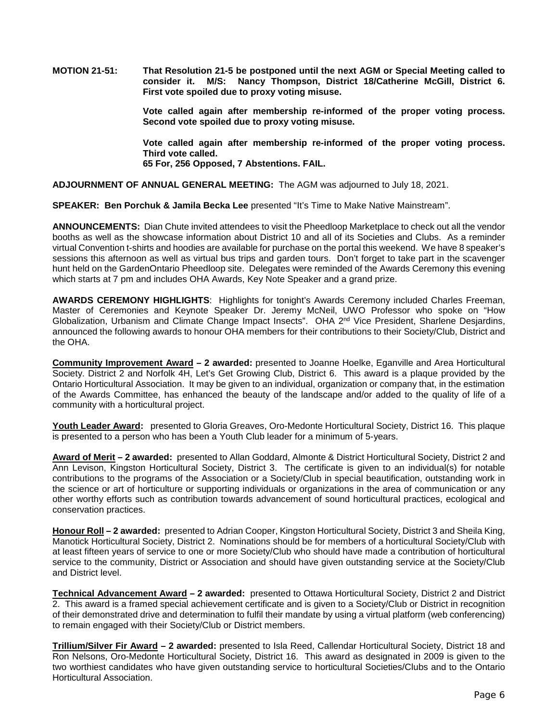**MOTION 21-51: That Resolution 21-5 be postponed until the next AGM or Special Meeting called to consider it. M/S: Nancy Thompson, District 18/Catherine McGill, District 6. First vote spoiled due to proxy voting misuse.**

> **Vote called again after membership re-informed of the proper voting process. Second vote spoiled due to proxy voting misuse.**

> **Vote called again after membership re-informed of the proper voting process. Third vote called. 65 For, 256 Opposed, 7 Abstentions. FAIL.**

**ADJOURNMENT OF ANNUAL GENERAL MEETING:** The AGM was adjourned to July 18, 2021.

**SPEAKER: Ben Porchuk & Jamila Becka Lee** presented "It's Time to Make Native Mainstream".

**ANNOUNCEMENTS:** Dian Chute invited attendees to visit the Pheedloop Marketplace to check out all the vendor booths as well as the showcase information about District 10 and all of its Societies and Clubs. As a reminder virtual Convention t-shirts and hoodies are available for purchase on the portal this weekend. We have 8 speaker's sessions this afternoon as well as virtual bus trips and garden tours. Don't forget to take part in the scavenger hunt held on the GardenOntario Pheedloop site. Delegates were reminded of the Awards Ceremony this evening which starts at 7 pm and includes OHA Awards, Key Note Speaker and a grand prize.

**AWARDS CEREMONY HIGHLIGHTS**: Highlights for tonight's Awards Ceremony included Charles Freeman, Master of Ceremonies and Keynote Speaker Dr. Jeremy McNeil, UWO Professor who spoke on "How Globalization, Urbanism and Climate Change Impact Insects". OHA 2<sup>nd</sup> Vice President, Sharlene Desjardins, announced the following awards to honour OHA members for their contributions to their Society/Club, District and the OHA.

**Community Improvement Award – 2 awarded:** presented to Joanne Hoelke, Eganville and Area Horticultural Society. District 2 and Norfolk 4H, Let's Get Growing Club, District 6. This award is a plaque provided by the Ontario Horticultural Association. It may be given to an individual, organization or company that, in the estimation of the Awards Committee, has enhanced the beauty of the landscape and/or added to the quality of life of a community with a horticultural project.

**Youth Leader Award:** presented to Gloria Greaves, Oro-Medonte Horticultural Society, District 16. This plaque is presented to a person who has been a Youth Club leader for a minimum of 5-years.

**Award of Merit – 2 awarded:** presented to Allan Goddard, Almonte & District Horticultural Society, District 2 and Ann Levison, Kingston Horticultural Society, District 3. The certificate is given to an individual(s) for notable contributions to the programs of the Association or a Society/Club in special beautification, outstanding work in the science or art of horticulture or supporting individuals or organizations in the area of communication or any other worthy efforts such as contribution towards advancement of sound horticultural practices, ecological and conservation practices.

**Honour Roll – 2 awarded:** presented to Adrian Cooper, Kingston Horticultural Society, District 3 and Sheila King, Manotick Horticultural Society, District 2. Nominations should be for members of a horticultural Society/Club with at least fifteen years of service to one or more Society/Club who should have made a contribution of horticultural service to the community, District or Association and should have given outstanding service at the Society/Club and District level.

**Technical Advancement Award – 2 awarded:** presented to Ottawa Horticultural Society, District 2 and District 2. This award is a framed special achievement certificate and is given to a Society/Club or District in recognition of their demonstrated drive and determination to fulfil their mandate by using a virtual platform (web conferencing) to remain engaged with their Society/Club or District members.

**Trillium/Silver Fir Award – 2 awarded:** presented to Isla Reed, Callendar Horticultural Society, District 18 and Ron Nelsons, Oro-Medonte Horticultural Society, District 16. This award as designated in 2009 is given to the two worthiest candidates who have given outstanding service to horticultural Societies/Clubs and to the Ontario Horticultural Association.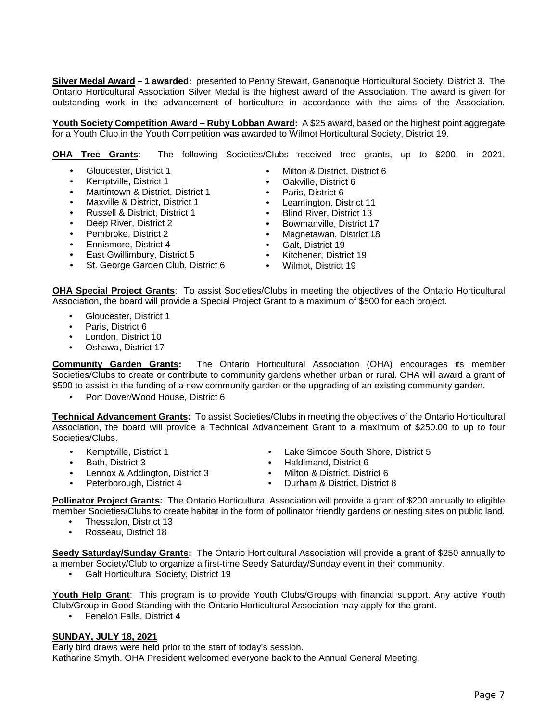**Silver Medal Award – 1 awarded:** presented to Penny Stewart, Gananoque Horticultural Society, District 3. The Ontario Horticultural Association Silver Medal is the highest award of the Association. The award is given for outstanding work in the advancement of horticulture in accordance with the aims of the Association.

**Youth Society Competition Award – Ruby Lobban Award:** A \$25 award, based on the highest point aggregate for a Youth Club in the Youth Competition was awarded to Wilmot Horticultural Society, District 19.

**OHA Tree Grants**: The following Societies/Clubs received tree grants, up to \$200, in 2021.

- Gloucester, District 1
- Kemptville, District 1
- Martintown & District, District 1
- Maxville & District, District 1
- Russell & District, District 1
- Deep River, District 2
- Pembroke, District 2
- 
- Ennismore, District 4<br>• East Gwillimbury Dist • East Gwillimbury, District 5
- St. George Garden Club, District 6
- Milton & District, District 6
- Oakville, District 6
- Paris, District 6
- Leamington, District 11
- Blind River, District 13
- Bowmanville, District 17
- Magnetawan, District 18
- Galt, District 19<br>• Kitchener, Distri
- Kitchener, District 19<br>• Wilmot District 19
- Wilmot, District 19

**OHA Special Project Grants**: To assist Societies/Clubs in meeting the objectives of the Ontario Horticultural Association, the board will provide a Special Project Grant to a maximum of \$500 for each project.

- Gloucester, District 1
- Paris, District 6
- London, District 10
- Oshawa, District 17

**Community Garden Grants:** The Ontario Horticultural Association (OHA) encourages its member Societies/Clubs to create or contribute to community gardens whether urban or rural. OHA will award a grant of \$500 to assist in the funding of a new community garden or the upgrading of an existing community garden.

• Port Dover/Wood House, District 6

**Technical Advancement Grants:** To assist Societies/Clubs in meeting the objectives of the Ontario Horticultural Association, the board will provide a Technical Advancement Grant to a maximum of \$250.00 to up to four Societies/Clubs.

- Kemptville, District 1
- Bath, District 3
- Lennox & Addington, District 3
- Lake Simcoe South Shore, District 5 • Haldimand, District 6
- Milton & District, District 6
- Peterborough, District 4
- **Pollinator Project Grants:** The Ontario Horticultural Association will provide a grant of \$200 annually to eligible • Durham & District, District 8

member Societies/Clubs to create habitat in the form of pollinator friendly gardens or nesting sites on public land.

- Thessalon, District 13
- Rosseau, District 18

**Seedy Saturday/Sunday Grants:** The Ontario Horticultural Association will provide a grant of \$250 annually to a member Society/Club to organize a first-time Seedy Saturday/Sunday event in their community.

• Galt Horticultural Society, District 19

Youth Help Grant: This program is to provide Youth Clubs/Groups with financial support. Any active Youth Club/Group in Good Standing with the Ontario Horticultural Association may apply for the grant.

• Fenelon Falls, District 4

### **SUNDAY, JULY 18, 2021**

Early bird draws were held prior to the start of today's session. Katharine Smyth, OHA President welcomed everyone back to the Annual General Meeting.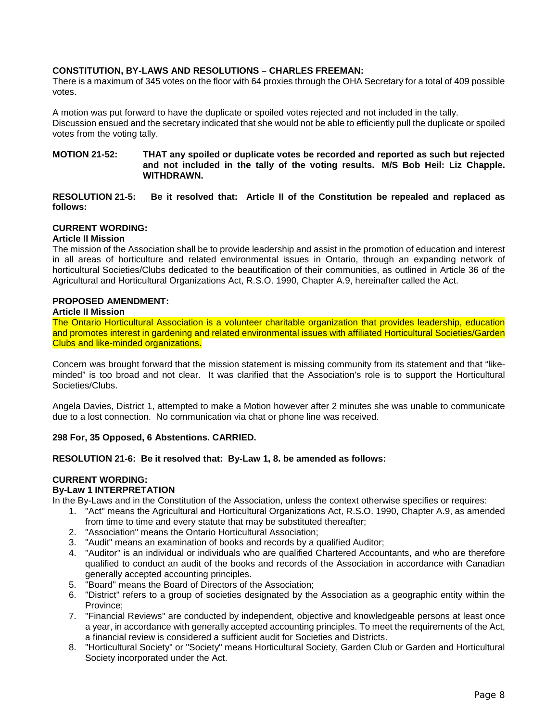# **CONSTITUTION, BY-LAWS AND RESOLUTIONS – CHARLES FREEMAN:**

There is a maximum of 345 votes on the floor with 64 proxies through the OHA Secretary for a total of 409 possible votes.

A motion was put forward to have the duplicate or spoiled votes rejected and not included in the tally. Discussion ensued and the secretary indicated that she would not be able to efficiently pull the duplicate or spoiled votes from the voting tally.

#### **MOTION 21-52: THAT any spoiled or duplicate votes be recorded and reported as such but rejected and not included in the tally of the voting results. M/S Bob Heil: Liz Chapple. WITHDRAWN.**

**RESOLUTION 21-5: Be it resolved that: Article II of the Constitution be repealed and replaced as follows:**

# **CURRENT WORDING:**

### **Article II Mission**

The mission of the Association shall be to provide leadership and assist in the promotion of education and interest in all areas of horticulture and related environmental issues in Ontario, through an expanding network of horticultural Societies/Clubs dedicated to the beautification of their communities, as outlined in Article 36 of the Agricultural and Horticultural Organizations Act, R.S.O. 1990, Chapter A.9, hereinafter called the Act.

### **PROPOSED AMENDMENT:**

### **Article II Mission**

The Ontario Horticultural Association is a volunteer charitable organization that provides leadership, education and promotes interest in gardening and related environmental issues with affiliated Horticultural Societies/Garden Clubs and like-minded organizations.

Concern was brought forward that the mission statement is missing community from its statement and that "likeminded" is too broad and not clear. It was clarified that the Association's role is to support the Horticultural Societies/Clubs.

Angela Davies, District 1, attempted to make a Motion however after 2 minutes she was unable to communicate due to a lost connection. No communication via chat or phone line was received.

### **298 For, 35 Opposed, 6 Abstentions. CARRIED.**

### **RESOLUTION 21-6: Be it resolved that: By-Law 1, 8. be amended as follows:**

# **CURRENT WORDING:**

# **By-Law 1 INTERPRETATION**

- In the By-Laws and in the Constitution of the Association, unless the context otherwise specifies or requires:
	- 1. "Act" means the Agricultural and Horticultural Organizations Act, R.S.O. 1990, Chapter A.9, as amended from time to time and every statute that may be substituted thereafter;
	- 2. "Association" means the Ontario Horticultural Association;
	- 3. "Audit" means an examination of books and records by a qualified Auditor;
	- 4. "Auditor" is an individual or individuals who are qualified Chartered Accountants, and who are therefore qualified to conduct an audit of the books and records of the Association in accordance with Canadian generally accepted accounting principles.
	- 5. "Board" means the Board of Directors of the Association;
	- 6. "District" refers to a group of societies designated by the Association as a geographic entity within the Province;
	- 7. "Financial Reviews" are conducted by independent, objective and knowledgeable persons at least once a year, in accordance with generally accepted accounting principles. To meet the requirements of the Act, a financial review is considered a sufficient audit for Societies and Districts.
	- 8. "Horticultural Society" or "Society" means Horticultural Society, Garden Club or Garden and Horticultural Society incorporated under the Act.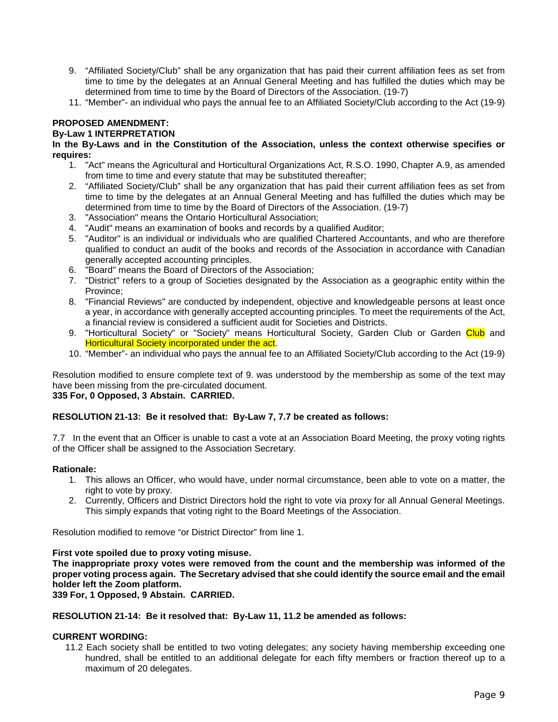- 9. "Affiliated Society/Club" shall be any organization that has paid their current affiliation fees as set from time to time by the delegates at an Annual General Meeting and has fulfilled the duties which may be determined from time to time by the Board of Directors of the Association. (19-7)
- 11. "Member"- an individual who pays the annual fee to an Affiliated Society/Club according to the Act (19-9)

# **PROPOSED AMENDMENT:**

# **By-Law 1 INTERPRETATION**

### **In the By-Laws and in the Constitution of the Association, unless the context otherwise specifies or requires:**

- 1. "Act" means the Agricultural and Horticultural Organizations Act, R.S.O. 1990, Chapter A.9, as amended from time to time and every statute that may be substituted thereafter;
- 2. "Affiliated Society/Club" shall be any organization that has paid their current affiliation fees as set from time to time by the delegates at an Annual General Meeting and has fulfilled the duties which may be determined from time to time by the Board of Directors of the Association. (19-7)
- 3. "Association" means the Ontario Horticultural Association;
- 4. "Audit" means an examination of books and records by a qualified Auditor;
- 5. "Auditor" is an individual or individuals who are qualified Chartered Accountants, and who are therefore qualified to conduct an audit of the books and records of the Association in accordance with Canadian generally accepted accounting principles.
- 6. "Board" means the Board of Directors of the Association;
- 7. "District" refers to a group of Societies designated by the Association as a geographic entity within the Province;
- 8. "Financial Reviews" are conducted by independent, objective and knowledgeable persons at least once a year, in accordance with generally accepted accounting principles. To meet the requirements of the Act, a financial review is considered a sufficient audit for Societies and Districts.
- 9. "Horticultural Society" or "Society" means Horticultural Society, Garden Club or Garden Club and Horticultural Society incorporated under the act.
- 10. "Member"- an individual who pays the annual fee to an Affiliated Society/Club according to the Act (19-9)

Resolution modified to ensure complete text of 9. was understood by the membership as some of the text may have been missing from the pre-circulated document.

# **335 For, 0 Opposed, 3 Abstain. CARRIED.**

### **RESOLUTION 21-13: Be it resolved that: By-Law 7, 7.7 be created as follows:**

7.7 In the event that an Officer is unable to cast a vote at an Association Board Meeting, the proxy voting rights of the Officer shall be assigned to the Association Secretary.

### **Rationale:**

- 1. This allows an Officer, who would have, under normal circumstance, been able to vote on a matter, the right to vote by proxy.
- 2. Currently, Officers and District Directors hold the right to vote via proxy for all Annual General Meetings. This simply expands that voting right to the Board Meetings of the Association.

Resolution modified to remove "or District Director" from line 1.

### **First vote spoiled due to proxy voting misuse.**

**The inappropriate proxy votes were removed from the count and the membership was informed of the proper voting process again. The Secretary advised that she could identify the source email and the email holder left the Zoom platform.** 

### **339 For, 1 Opposed, 9 Abstain. CARRIED.**

### **RESOLUTION 21-14: Be it resolved that: By-Law 11, 11.2 be amended as follows:**

# **CURRENT WORDING:**

11.2 Each society shall be entitled to two voting delegates; any society having membership exceeding one hundred, shall be entitled to an additional delegate for each fifty members or fraction thereof up to a maximum of 20 delegates.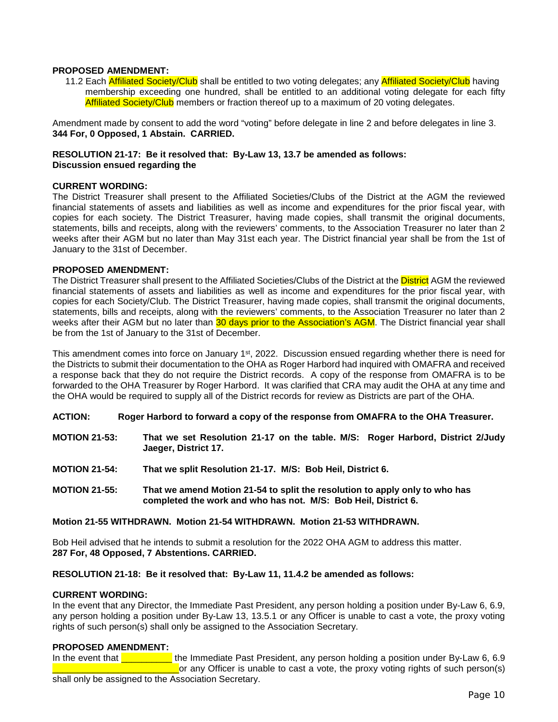### **PROPOSED AMENDMENT:**

11.2 Each **Affiliated Society/Club** shall be entitled to two voting delegates; any Affiliated Society/Club having membership exceeding one hundred, shall be entitled to an additional voting delegate for each fifty Affiliated Society/Club members or fraction thereof up to a maximum of 20 voting delegates.

Amendment made by consent to add the word "voting" before delegate in line 2 and before delegates in line 3. **344 For, 0 Opposed, 1 Abstain. CARRIED.**

### **RESOLUTION 21-17: Be it resolved that: By-Law 13, 13.7 be amended as follows: Discussion ensued regarding the**

### **CURRENT WORDING:**

The District Treasurer shall present to the Affiliated Societies/Clubs of the District at the AGM the reviewed financial statements of assets and liabilities as well as income and expenditures for the prior fiscal year, with copies for each society. The District Treasurer, having made copies, shall transmit the original documents, statements, bills and receipts, along with the reviewers' comments, to the Association Treasurer no later than 2 weeks after their AGM but no later than May 31st each year. The District financial year shall be from the 1st of January to the 31st of December.

### **PROPOSED AMENDMENT:**

The District Treasurer shall present to the Affiliated Societies/Clubs of the District at the District AGM the reviewed financial statements of assets and liabilities as well as income and expenditures for the prior fiscal year, with copies for each Society/Club. The District Treasurer, having made copies, shall transmit the original documents, statements, bills and receipts, along with the reviewers' comments, to the Association Treasurer no later than 2 weeks after their AGM but no later than 30 days prior to the Association's AGM. The District financial year shall be from the 1st of January to the 31st of December.

This amendment comes into force on January 1<sup>st</sup>, 2022. Discussion ensued regarding whether there is need for the Districts to submit their documentation to the OHA as Roger Harbord had inquired with OMAFRA and received a response back that they do not require the District records. A copy of the response from OMAFRA is to be forwarded to the OHA Treasurer by Roger Harbord. It was clarified that CRA may audit the OHA at any time and the OHA would be required to supply all of the District records for review as Districts are part of the OHA.

### **ACTION: Roger Harbord to forward a copy of the response from OMAFRA to the OHA Treasurer.**

- **MOTION 21-53: That we set Resolution 21-17 on the table. M/S: Roger Harbord, District 2/Judy Jaeger, District 17.**
- **MOTION 21-54: That we split Resolution 21-17. M/S: Bob Heil, District 6.**
- **MOTION 21-55: That we amend Motion 21-54 to split the resolution to apply only to who has completed the work and who has not. M/S: Bob Heil, District 6.**

### **Motion 21-55 WITHDRAWN. Motion 21-54 WITHDRAWN. Motion 21-53 WITHDRAWN.**

Bob Heil advised that he intends to submit a resolution for the 2022 OHA AGM to address this matter. **287 For, 48 Opposed, 7 Abstentions. CARRIED.**

### **RESOLUTION 21-18: Be it resolved that: By-Law 11, 11.4.2 be amended as follows:**

#### **CURRENT WORDING:**

In the event that any Director, the Immediate Past President, any person holding a position under By-Law 6, 6.9, any person holding a position under By-Law 13, 13.5.1 or any Officer is unable to cast a vote, the proxy voting rights of such person(s) shall only be assigned to the Association Secretary.

### **PROPOSED AMENDMENT:**

In the event that **Example 2018** the Immediate Past President, any person holding a position under By-Law 6, 6.9 or any Officer is unable to cast a vote, the proxy voting rights of such person(s) shall only be assigned to the Association Secretary.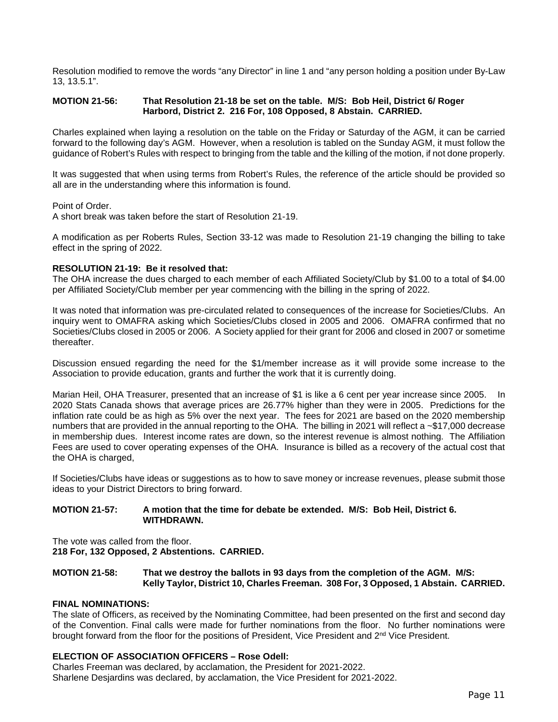Resolution modified to remove the words "any Director" in line 1 and "any person holding a position under By-Law 13, 13.5.1".

### **MOTION 21-56: That Resolution 21-18 be set on the table. M/S: Bob Heil, District 6/ Roger Harbord, District 2. 216 For, 108 Opposed, 8 Abstain. CARRIED.**

Charles explained when laying a resolution on the table on the Friday or Saturday of the AGM, it can be carried forward to the following day's AGM. However, when a resolution is tabled on the Sunday AGM, it must follow the guidance of Robert's Rules with respect to bringing from the table and the killing of the motion, if not done properly.

It was suggested that when using terms from Robert's Rules, the reference of the article should be provided so all are in the understanding where this information is found.

Point of Order.

A short break was taken before the start of Resolution 21-19.

A modification as per Roberts Rules, Section 33-12 was made to Resolution 21-19 changing the billing to take effect in the spring of 2022.

# **RESOLUTION 21-19: Be it resolved that:**

The OHA increase the dues charged to each member of each Affiliated Society/Club by \$1.00 to a total of \$4.00 per Affiliated Society/Club member per year commencing with the billing in the spring of 2022.

It was noted that information was pre-circulated related to consequences of the increase for Societies/Clubs. An inquiry went to OMAFRA asking which Societies/Clubs closed in 2005 and 2006. OMAFRA confirmed that no Societies/Clubs closed in 2005 or 2006. A Society applied for their grant for 2006 and closed in 2007 or sometime thereafter.

Discussion ensued regarding the need for the \$1/member increase as it will provide some increase to the Association to provide education, grants and further the work that it is currently doing.

Marian Heil, OHA Treasurer, presented that an increase of \$1 is like a 6 cent per year increase since 2005. In 2020 Stats Canada shows that average prices are 26.77% higher than they were in 2005. Predictions for the inflation rate could be as high as 5% over the next year. The fees for 2021 are based on the 2020 membership numbers that are provided in the annual reporting to the OHA. The billing in 2021 will reflect a ~\$17,000 decrease in membership dues. Interest income rates are down, so the interest revenue is almost nothing. The Affiliation Fees are used to cover operating expenses of the OHA. Insurance is billed as a recovery of the actual cost that the OHA is charged,

If Societies/Clubs have ideas or suggestions as to how to save money or increase revenues, please submit those ideas to your District Directors to bring forward.

### **MOTION 21-57: A motion that the time for debate be extended. M/S: Bob Heil, District 6. WITHDRAWN.**

The vote was called from the floor.

**218 For, 132 Opposed, 2 Abstentions. CARRIED.**

### **MOTION 21-58: That we destroy the ballots in 93 days from the completion of the AGM. M/S: Kelly Taylor, District 10, Charles Freeman. 308 For, 3 Opposed, 1 Abstain. CARRIED.**

### **FINAL NOMINATIONS:**

The slate of Officers, as received by the Nominating Committee, had been presented on the first and second day of the Convention. Final calls were made for further nominations from the floor. No further nominations were brought forward from the floor for the positions of President, Vice President and 2nd Vice President.

# **ELECTION OF ASSOCIATION OFFICERS – Rose Odell:**

Charles Freeman was declared, by acclamation, the President for 2021-2022. Sharlene Desjardins was declared, by acclamation, the Vice President for 2021-2022.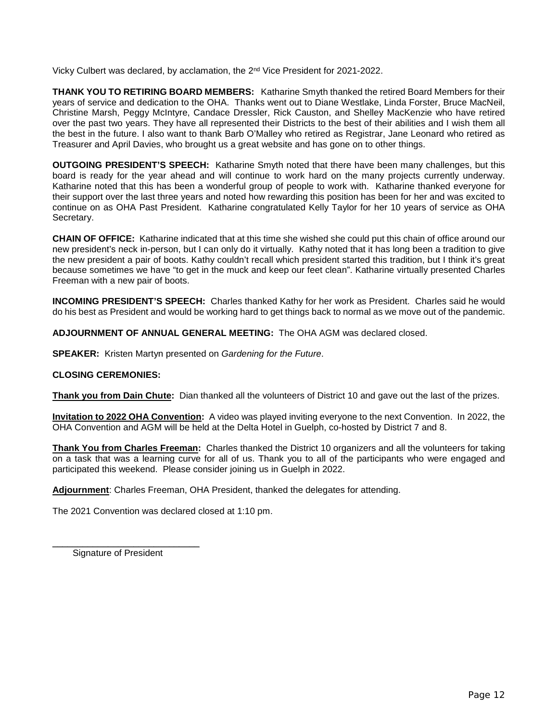Vicky Culbert was declared, by acclamation, the 2nd Vice President for 2021-2022.

**THANK YOU TO RETIRING BOARD MEMBERS:** Katharine Smyth thanked the retired Board Members for their years of service and dedication to the OHA. Thanks went out to Diane Westlake, Linda Forster, Bruce MacNeil, Christine Marsh, Peggy McIntyre, Candace Dressler, Rick Causton, and Shelley MacKenzie who have retired over the past two years. They have all represented their Districts to the best of their abilities and I wish them all the best in the future. I also want to thank Barb O'Malley who retired as Registrar, Jane Leonard who retired as Treasurer and April Davies, who brought us a great website and has gone on to other things.

**OUTGOING PRESIDENT'S SPEECH:** Katharine Smyth noted that there have been many challenges, but this board is ready for the year ahead and will continue to work hard on the many projects currently underway. Katharine noted that this has been a wonderful group of people to work with. Katharine thanked everyone for their support over the last three years and noted how rewarding this position has been for her and was excited to continue on as OHA Past President. Katharine congratulated Kelly Taylor for her 10 years of service as OHA Secretary.

**CHAIN OF OFFICE:** Katharine indicated that at this time she wished she could put this chain of office around our new president's neck in-person, but I can only do it virtually. Kathy noted that it has long been a tradition to give the new president a pair of boots. Kathy couldn't recall which president started this tradition, but I think it's great because sometimes we have "to get in the muck and keep our feet clean". Katharine virtually presented Charles Freeman with a new pair of boots.

**INCOMING PRESIDENT'S SPEECH:** Charles thanked Kathy for her work as President. Charles said he would do his best as President and would be working hard to get things back to normal as we move out of the pandemic.

**ADJOURNMENT OF ANNUAL GENERAL MEETING:** The OHA AGM was declared closed.

**SPEAKER:** Kristen Martyn presented on *Gardening for the Future*.

# **CLOSING CEREMONIES:**

**Thank you from Dain Chute:** Dian thanked all the volunteers of District 10 and gave out the last of the prizes.

**Invitation to 2022 OHA Convention:** A video was played inviting everyone to the next Convention. In 2022, the OHA Convention and AGM will be held at the Delta Hotel in Guelph, co-hosted by District 7 and 8.

**Thank You from Charles Freeman:** Charles thanked the District 10 organizers and all the volunteers for taking on a task that was a learning curve for all of us. Thank you to all of the participants who were engaged and participated this weekend. Please consider joining us in Guelph in 2022.

**Adjournment**: Charles Freeman, OHA President, thanked the delegates for attending.

The 2021 Convention was declared closed at 1:10 pm.

Signature of President

\_\_\_\_\_\_\_\_\_\_\_\_\_\_\_\_\_\_\_\_\_\_\_\_\_\_\_\_\_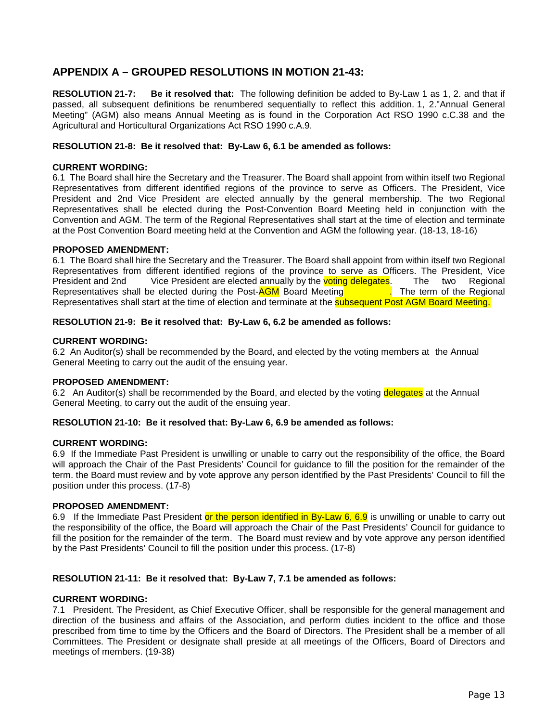# **APPENDIX A – GROUPED RESOLUTIONS IN MOTION 21-43:**

**RESOLUTION 21-7: Be it resolved that:** The following definition be added to By-Law 1 as 1, 2. and that if passed, all subsequent definitions be renumbered sequentially to reflect this addition. 1, 2."Annual General Meeting" (AGM) also means Annual Meeting as is found in the Corporation Act RSO 1990 c.C.38 and the Agricultural and Horticultural Organizations Act RSO 1990 c.A.9.

# **RESOLUTION 21-8: Be it resolved that: By-Law 6, 6.1 be amended as follows:**

# **CURRENT WORDING:**

6.1 The Board shall hire the Secretary and the Treasurer. The Board shall appoint from within itself two Regional Representatives from different identified regions of the province to serve as Officers. The President, Vice President and 2nd Vice President are elected annually by the general membership. The two Regional Representatives shall be elected during the Post-Convention Board Meeting held in conjunction with the Convention and AGM. The term of the Regional Representatives shall start at the time of election and terminate at the Post Convention Board meeting held at the Convention and AGM the following year. (18-13, 18-16)

### **PROPOSED AMENDMENT:**

6.1 The Board shall hire the Secretary and the Treasurer. The Board shall appoint from within itself two Regional Representatives from different identified regions of the province to serve as Officers. The President, Vice President and 2nd Vice President are elected annually by the **voting delegates.** The two Regional Representatives shall be elected during the Post-AGM Board Meeting **The term of the Regional** Representatives shall be elected during the Post-AGM Board Meeting Representatives shall start at the time of election and terminate at the **subsequent Post AGM Board Meeting.** 

# **RESOLUTION 21-9: Be it resolved that: By-Law 6, 6.2 be amended as follows:**

### **CURRENT WORDING:**

6.2 An Auditor(s) shall be recommended by the Board, and elected by the voting members at the Annual General Meeting to carry out the audit of the ensuing year.

### **PROPOSED AMENDMENT:**

6.2 An Auditor(s) shall be recommended by the Board, and elected by the voting delegates at the Annual General Meeting, to carry out the audit of the ensuing year.

### **RESOLUTION 21-10: Be it resolved that: By-Law 6, 6.9 be amended as follows:**

### **CURRENT WORDING:**

6.9 If the Immediate Past President is unwilling or unable to carry out the responsibility of the office, the Board will approach the Chair of the Past Presidents' Council for guidance to fill the position for the remainder of the term. the Board must review and by vote approve any person identified by the Past Presidents' Council to fill the position under this process. (17-8)

# **PROPOSED AMENDMENT:**

6.9 If the Immediate Past President or the person identified in By-Law 6, 6.9 is unwilling or unable to carry out the responsibility of the office, the Board will approach the Chair of the Past Presidents' Council for guidance to fill the position for the remainder of the term. The Board must review and by vote approve any person identified by the Past Presidents' Council to fill the position under this process. (17-8)

### **RESOLUTION 21-11: Be it resolved that: By-Law 7, 7.1 be amended as follows:**

### **CURRENT WORDING:**

7.1 President. The President, as Chief Executive Officer, shall be responsible for the general management and direction of the business and affairs of the Association, and perform duties incident to the office and those prescribed from time to time by the Officers and the Board of Directors. The President shall be a member of all Committees. The President or designate shall preside at all meetings of the Officers, Board of Directors and meetings of members. (19-38)